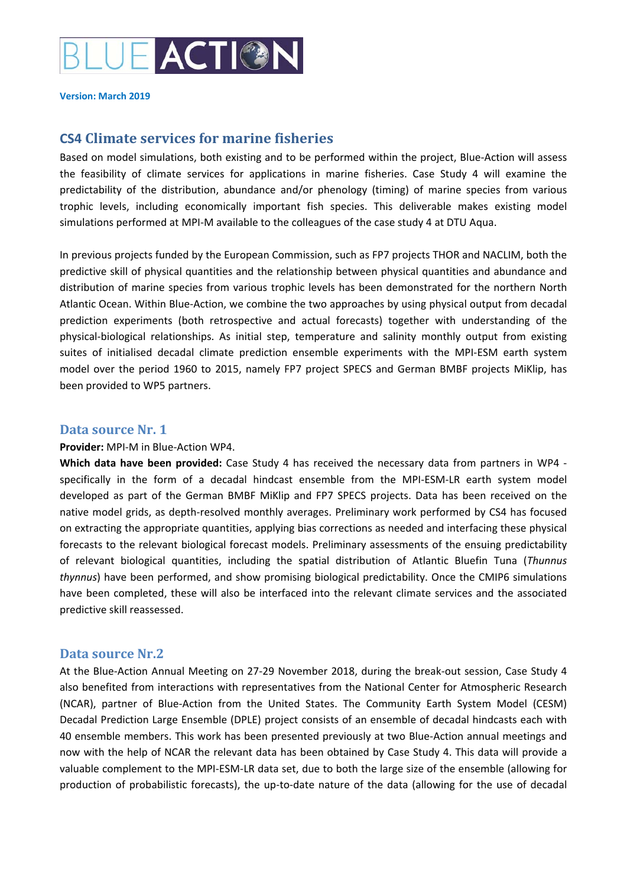

**Version: March 2019**

## **CS4 Climate services for marine fisheries**

Based on model simulations, both existing and to be performed within the project, Blue‐Action will assess the feasibility of climate services for applications in marine fisheries. Case Study 4 will examine the predictability of the distribution, abundance and/or phenology (timing) of marine species from various trophic levels, including economically important fish species. This deliverable makes existing model simulations performed at MPI-M available to the colleagues of the case study 4 at DTU Aqua.

In previous projects funded by the European Commission, such as FP7 projects THOR and NACLIM, both the predictive skill of physical quantities and the relationship between physical quantities and abundance and distribution of marine species from various trophic levels has been demonstrated for the northern North Atlantic Ocean. Within Blue‐Action, we combine the two approaches by using physical output from decadal prediction experiments (both retrospective and actual forecasts) together with understanding of the physical‐biological relationships. As initial step, temperature and salinity monthly output from existing suites of initialised decadal climate prediction ensemble experiments with the MPI-ESM earth system model over the period 1960 to 2015, namely FP7 project SPECS and German BMBF projects MiKlip, has been provided to WP5 partners.

## **Data source Nr. 1**

## **Provider:** MPI‐M in Blue‐Action WP4.

**Which data have been provided:** Case Study 4 has received the necessary data from partners in WP4 ‐ specifically in the form of a decadal hindcast ensemble from the MPI-ESM-LR earth system model developed as part of the German BMBF MiKlip and FP7 SPECS projects. Data has been received on the native model grids, as depth‐resolved monthly averages. Preliminary work performed by CS4 has focused on extracting the appropriate quantities, applying bias corrections as needed and interfacing these physical forecasts to the relevant biological forecast models. Preliminary assessments of the ensuing predictability of relevant biological quantities, including the spatial distribution of Atlantic Bluefin Tuna (*Thunnus thynnus*) have been performed, and show promising biological predictability. Once the CMIP6 simulations have been completed, these will also be interfaced into the relevant climate services and the associated predictive skill reassessed.

## **Data source Nr.2**

At the Blue‐Action Annual Meeting on 27‐29 November 2018, during the break‐out session, Case Study 4 also benefited from interactions with representatives from the National Center for Atmospheric Research (NCAR), partner of Blue‐Action from the United States. The Community Earth System Model (CESM) Decadal Prediction Large Ensemble (DPLE) project consists of an ensemble of decadal hindcasts each with 40 ensemble members. This work has been presented previously at two Blue‐Action annual meetings and now with the help of NCAR the relevant data has been obtained by Case Study 4. This data will provide a valuable complement to the MPI‐ESM‐LR data set, due to both the large size of the ensemble (allowing for production of probabilistic forecasts), the up-to-date nature of the data (allowing for the use of decadal